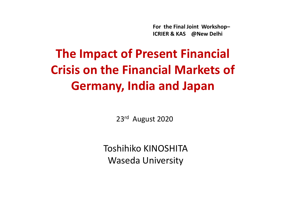For the Final Joint Workshop–ICRIER & KAS @New Delhi

# The Impact of Present Financial Crisis on the Financial Markets of Germany, India and Japan

23<sup>rd</sup> August 2020

Toshihiko KINOSHITAWaseda University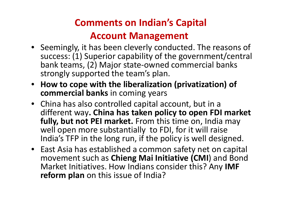### Comments on Indian's Capital

#### Account Management

- Seemingly, it has been cleverly conducted. The reasons of success: (1) Superior capability of the government/central bank teams, (2) Major state-owned commercial banks strongly supported the team's plan.
- How to cope with the liberalization (privatization) of commercial banks in coming years
- China has also controlled capital account, but in a different way. China has taken policy to open FDI market fully, but not PEI market. From this time on, India may well open more substantially to FDI, for it will raise India's TFP in the long run, if the policy is well designed.
- East Asia has established a common safety net on capital movement such as Chieng Mai Initiative (CMI) and Bond Market Initiatives. How Indians consider this? Any IMF **reform plan** on this issue of India?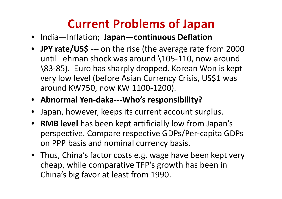### Current Problems of Japan

- India—Inflation; Japan—continuous Deflation
- JPY rate/US\$ --- on the rise (the average rate from 2000 until Lehman shock was around \105-110, now around \83-85). Euro has sharply dropped. Korean Won is keptvery low level (before Asian Currency Crisis, US\$1 was around KW750, now KW 1100-1200).
- Abnormal Yen-daka---Who's responsibility?
- $\bullet$ Japan, however, keeps its current account surplus.
- RMB level has been kept artificially low from Japan's perspective. Compare respective GDPs/Per-capita GDPs on PPP basis and nominal currency basis.
- Thus, China's factor costs e.g. wage have been kept very cheap, while comparative TFP's growth has been in China's big favor at least from 1990.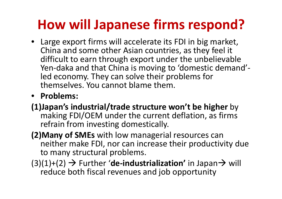# How will Japanese firms respond?

- Large export firms will accelerate its FDI in big market, China and some other Asian countries, as they feel it difficult to earn through export under the unbelievable Yen-daka and that China is moving to 'domestic demand'led economy. They can solve their problems for themselves. You cannot blame them.
- Problems:
- (1)Japan's industrial/trade structure won't be higher by making FDI/OEM under the current deflation, as firms refrain from investing domestically.
- (2)Many of SMEs with low managerial resources can neither make FDI, nor can increase their productivity due to many structural problems.

(3)(1)+(2)  $\rightarrow$  Further '**de-industrialization'** in Japan $\rightarrow$  will<br>reduce both fiscal revenues and job opportunity (1)+(2) → Further **'de-industrialization'** in Japan<br>reduce both fiscal revenues and job opportunity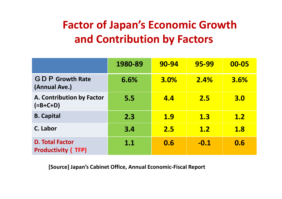### Factor of Japan's Economic Growth and Contribution by Factors

|                                                     | 1980-89 | 90-94       | 95-99      | 00-05 |
|-----------------------------------------------------|---------|-------------|------------|-------|
| <b>GDP</b> Growth Rate<br>(Annual Ave.)             | 6.6%    | <b>3.0%</b> | 2.4%       | 3.6%  |
| A. Contribution by Factor<br>$(=B+C+D)$             | 5.5     | <b>4.4</b>  | 2.5        | 3.0   |
| <b>B.</b> Capital                                   | 2.3     | <u>1.9</u>  | <b>1.3</b> | 1.2   |
| C. Labor                                            | 3.4     | 2.5         | <b>1.2</b> | 1.8   |
| <b>D. Total Factor</b><br><b>Productivity (TFP)</b> | 1.1     | 0.6         | $-0.1$     | 0.6   |

[Source] Japan's Cabinet Office, Annual Economic-Fiscal Report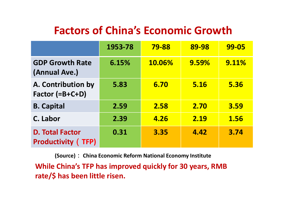#### Factors of China's Economic Growth

|                                                     | 1953-78 | <b>79-88</b> | 89-98 | <b>99-05</b> |
|-----------------------------------------------------|---------|--------------|-------|--------------|
| <b>GDP Growth Rate</b><br>(Annual Ave.)             | 6.15%   | 10.06%       | 9.59% | 9.11%        |
| A. Contribution by<br>Factor (=B+C+D)               | 5.83    | 6.70         | 5.16  | 5.36         |
| <b>B. Capital</b>                                   | 2.59    | 2.58         | 2.70  | <b>3.59</b>  |
| C. Labor                                            | 2.39    | 4.26         | 2.19  | 1.56         |
| <b>D. Total Factor</b><br><b>Productivity (TFP)</b> | 0.31    | 3.35         | 4.42  | 3.74         |

(Source): China Economic Reform National Economy Institute

While China's TFP has improved quickly for 30 years, RMB rate/\$ has been little risen.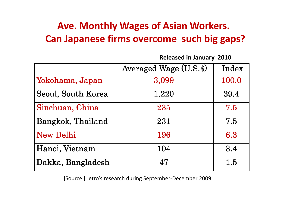#### Ave. Monthly Wages of Asian Workers.Can Japanese firms overcome such big gaps?

Released in January 2010

|                    | Averaged Wage (U.S.\$) | Index |
|--------------------|------------------------|-------|
| Yokohama, Japan    | 3,099                  | 100.0 |
| Seoul, South Korea | 1,220                  | 39.4  |
| Sinchuan, China    | 235                    | 7.5   |
| Bangkok, Thailand  | 231                    | 7.5   |
| <b>New Delhi</b>   | 196                    | 6.3   |
| Hanoi, Vietnam     | 104                    | 3.4   |
| Dakka, Bangladesh  | 47                     | 1.5   |

[Source ] Jetro's research during September-December 2009.